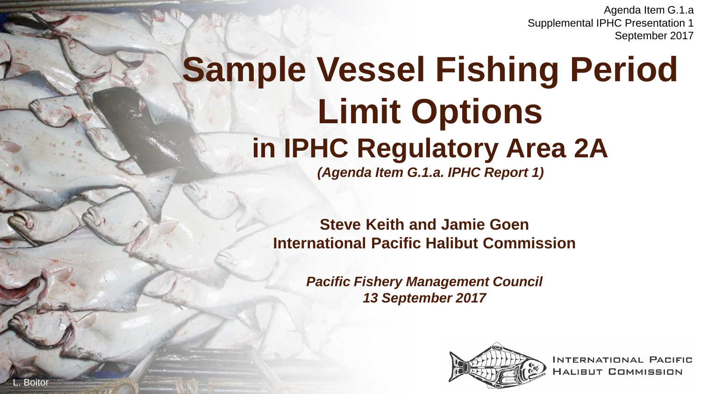Agenda Item G.1.a Supplemental IPHC Presentation 1 September 2017

# **Sample Vessel Fishing Period Limit Options in IPHC Regulatory Area 2A**

*(Agenda Item G.1.a. IPHC Report 1)*

**Steve Keith and Jamie Goen International Pacific Halibut Commission**

> *Pacific Fishery Management Council 13 September 2017*

**Boitor** 



**INTERNATIONAL PACIFIC HALIBUT COMMISSION**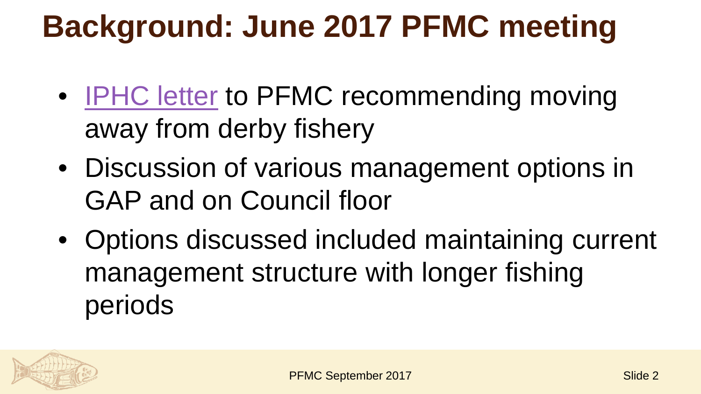### **Background: June 2017 PFMC meeting**

- [IPHC letter](http://www.pcouncil.org/wp-content/uploads/2017/06/G1a_Sup_IPHC_Ltr2_CommlDerbyFishery_Jun2017BB.pdf) to PFMC recommending moving away from derby fishery
- Discussion of various management options in GAP and on Council floor
- Options discussed included maintaining current management structure with longer fishing periods

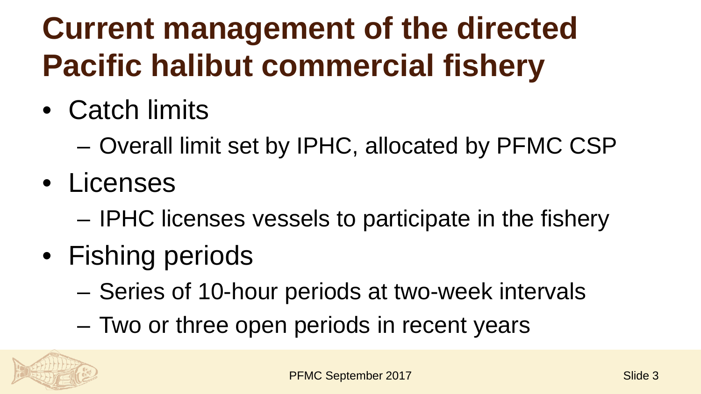# **Current management of the directed Pacific halibut commercial fishery**

- Catch limits
	- Overall limit set by IPHC, allocated by PFMC CSP
- Licenses
	- IPHC licenses vessels to participate in the fishery
- Fishing periods
	- Series of 10-hour periods at two-week intervals
	- Two or three open periods in recent years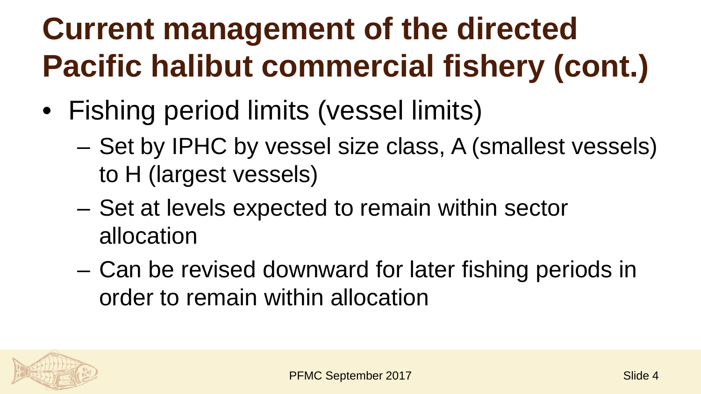# **Current management of the directed Pacific halibut commercial fishery (cont.)**

- Fishing period limits (vessel limits)
	- Set by IPHC by vessel size class, A (smallest vessels) to H (largest vessels)
	- Set at levels expected to remain within sector allocation
	- Can be revised downward for later fishing periods in order to remain within allocation

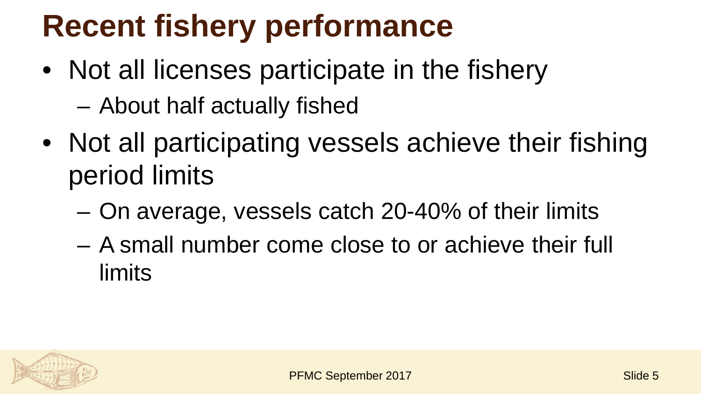### **Recent fishery performance**

- Not all licenses participate in the fishery
	- About half actually fished
- Not all participating vessels achieve their fishing period limits
	- On average, vessels catch 20-40% of their limits
	- A small number come close to or achieve their full limits

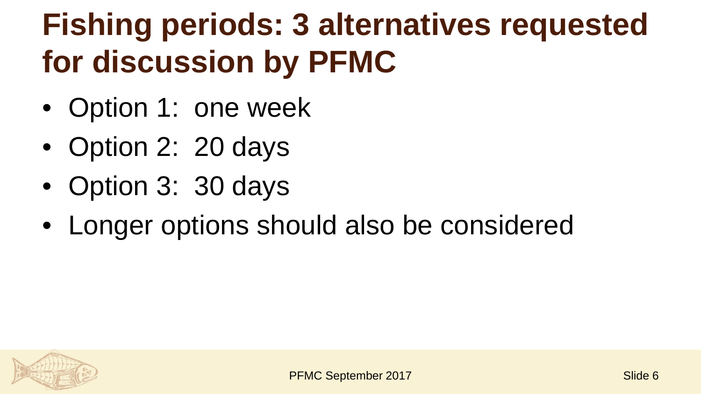### **Fishing periods: 3 alternatives requested for discussion by PFMC**

- Option 1: one week
- Option 2: 20 days
- Option 3: 30 days
- Longer options should also be considered

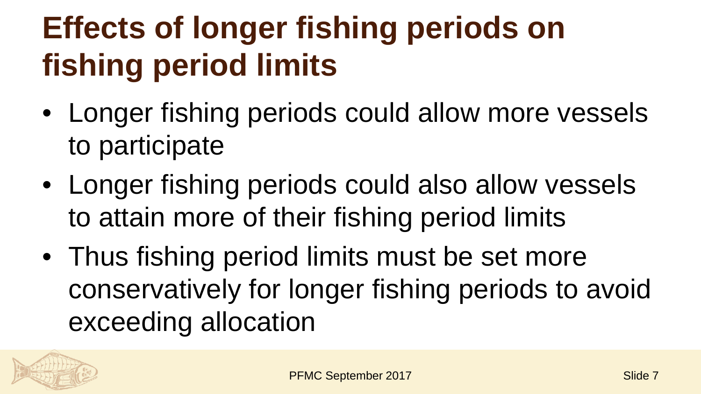### **Effects of longer fishing periods on fishing period limits**

- Longer fishing periods could allow more vessels to participate
- Longer fishing periods could also allow vessels to attain more of their fishing period limits
- Thus fishing period limits must be set more conservatively for longer fishing periods to avoid exceeding allocation

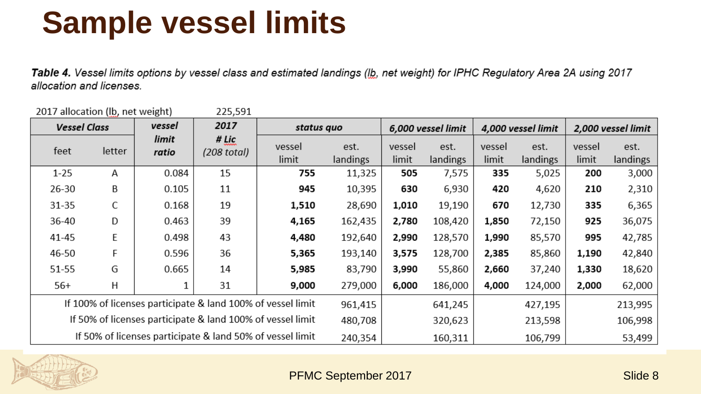#### **Sample vessel limits**

Table 4. Vessel limits options by vessel class and estimated landings (Ib, net weight) for IPHC Regulatory Area 2A using 2017 allocation and licenses.

| 2017 allocation (lb, net weight)                            |        |                | 225,591              |                 |                  |                    |                  |                    |                  |                    |                  |
|-------------------------------------------------------------|--------|----------------|----------------------|-----------------|------------------|--------------------|------------------|--------------------|------------------|--------------------|------------------|
| <b>Vessel Class</b>                                         |        | vessel         | 2017                 | status quo      |                  | 6,000 vessel limit |                  | 4,000 vessel limit |                  | 2,000 vessel limit |                  |
| feet                                                        | letter | limit<br>ratio | # Lic<br>(208 total) | vessel<br>limit | est.<br>landings | vessel<br>limit    | est.<br>landings | vessel<br>limit    | est.<br>landings | vessel<br>limit    | est.<br>landings |
| $1 - 25$                                                    | Α      | 0.084          | 15                   | 755             | 11,325           | 505                | 7,575            | 335                | 5,025            | 200                | 3,000            |
| 26-30                                                       | B      | 0.105          | 11                   | 945             | 10,395           | 630                | 6,930            | 420                | 4,620            | 210                | 2,310            |
| 31-35                                                       | С      | 0.168          | 19                   | 1,510           | 28,690           | 1,010              | 19,190           | 670                | 12,730           | 335                | 6,365            |
| 36-40                                                       | D      | 0.463          | 39                   | 4,165           | 162,435          | 2,780              | 108,420          | 1,850              | 72,150           | 925                | 36,075           |
| 41-45                                                       | E      | 0.498          | 43                   | 4,480           | 192,640          | 2,990              | 128,570          | 1,990              | 85,570           | 995                | 42,785           |
| 46-50                                                       | F      | 0.596          | 36                   | 5,365           | 193,140          | 3,575              | 128,700          | 2,385              | 85,860           | 1,190              | 42,840           |
| 51-55                                                       | G      | 0.665          | 14                   | 5,985           | 83,790           | 3,990              | 55,860           | 2,660              | 37,240           | 1,330              | 18,620           |
| $56+$                                                       | Н      |                | 31                   | 9,000           | 279,000          | 6,000              | 186,000          | 4,000              | 124,000          | 2,000              | 62,000           |
| If 100% of licenses participate & land 100% of vessel limit |        |                |                      |                 | 961,415          |                    | 641,245          |                    | 427,195          |                    | 213,995          |
| If 50% of licenses participate & land 100% of vessel limit  |        |                |                      |                 | 480,708          |                    | 320,623          |                    | 213,598          |                    | 106,998          |
| If 50% of licenses participate & land 50% of vessel limit   |        |                |                      |                 | 240,354          |                    | 160,311          |                    | 106,799          |                    | 53,499           |

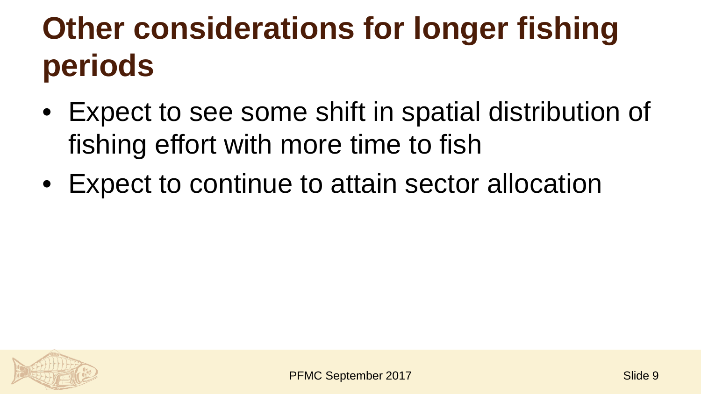## **Other considerations for longer fishing periods**

- Expect to see some shift in spatial distribution of fishing effort with more time to fish
- Expect to continue to attain sector allocation

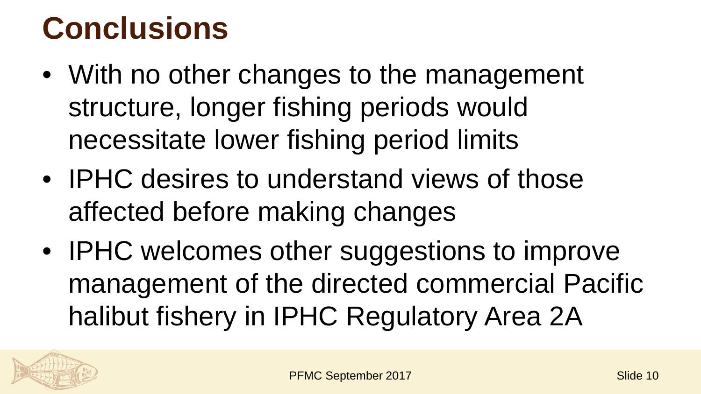#### **Conclusions**

- With no other changes to the management structure, longer fishing periods would necessitate lower fishing period limits
- IPHC desires to understand views of those affected before making changes
- IPHC welcomes other suggestions to improve management of the directed commercial Pacific halibut fishery in IPHC Regulatory Area 2A